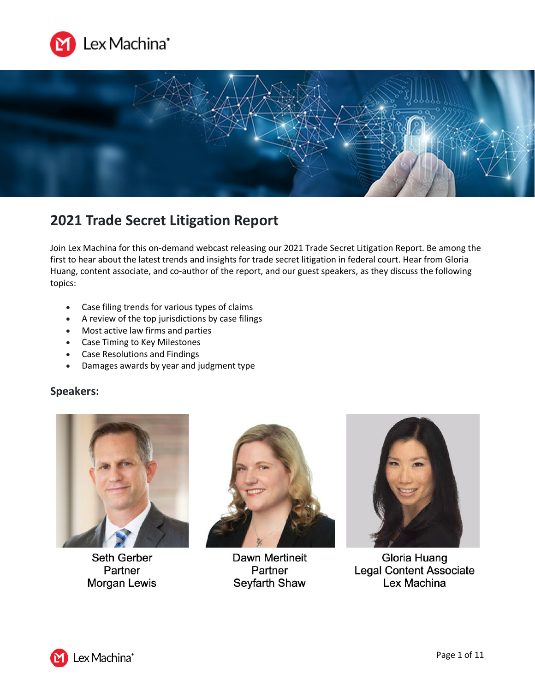



# **2021 Trade Secret Litigation Report**

Join Lex Machina for this on-demand webcast releasing our 2021 Trade Secret Litigation Report. Be among the first to hear about the latest trends and insights for trade secret litigation in federal court. Hear from Gloria Huang, content associate, and co-author of the report, and our guest speakers, as they discuss the following topics:

- Case filing trends for various types of claims
- A review of the top jurisdictions by case filings
- Most active law firms and parties
- Case Timing to Key Milestones
- Case Resolutions and Findings
- Damages awards by year and judgment type

# **Speakers:**



**Seth Gerber** Partner Morgan Lewis



**Dawn Mertineit** Partner Seyfarth Shaw



Gloria Huang **Legal Content Associate** Lex Machina

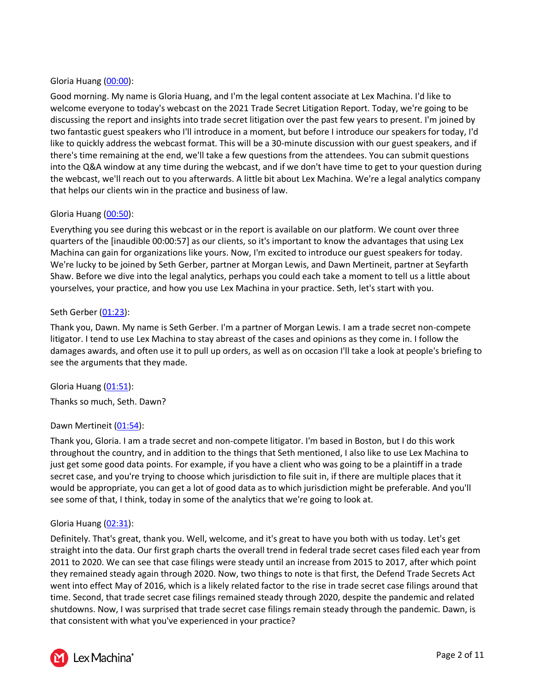# Gloria Huang [\(00:00\)](https://www.rev.com/transcript-editor/Edit?token=204eFgs0Qp7kvkQnFsb8J8HQRKz0hMHuFOGkwTfXfXlKuAvCdGbaPXahTMhnClzzG4FbwDjb9b2lKZN96LDM-Kw2Apc&loadFrom=DocumentDeeplink&ts=0.95):

Good morning. My name is Gloria Huang, and I'm the legal content associate at Lex Machina. I'd like to welcome everyone to today's webcast on the 2021 Trade Secret Litigation Report. Today, we're going to be discussing the report and insights into trade secret litigation over the past few years to present. I'm joined by two fantastic guest speakers who I'll introduce in a moment, but before I introduce our speakers for today, I'd like to quickly address the webcast format. This will be a 30-minute discussion with our guest speakers, and if there's time remaining at the end, we'll take a few questions from the attendees. You can submit questions into the Q&A window at any time during the webcast, and if we don't have time to get to your question during the webcast, we'll reach out to you afterwards. A little bit about Lex Machina. We're a legal analytics company that helps our clients win in the practice and business of law.

# Gloria Huang [\(00:50\)](https://www.rev.com/transcript-editor/Edit?token=70ebCJVCzy2UiNMhOj6eOvU7rFhQKZ3FwpG2YgBdX5XebmyyPR21ussw1pMswhcM75pMoTROC7IeJSa8iEbog-s-WFY&loadFrom=DocumentDeeplink&ts=50.71):

Everything you see during this webcast or in the report is available on our platform. We count over three quarters of the [inaudible 00:00:57] as our clients, so it's important to know the advantages that using Lex Machina can gain for organizations like yours. Now, I'm excited to introduce our guest speakers for today. We're lucky to be joined by Seth Gerber, partner at Morgan Lewis, and Dawn Mertineit, partner at Seyfarth Shaw. Before we dive into the legal analytics, perhaps you could each take a moment to tell us a little about yourselves, your practice, and how you use Lex Machina in your practice. Seth, let's start with you.

## Seth Gerber [\(01:23\)](https://www.rev.com/transcript-editor/Edit?token=EXxzJVoaDrHgUFK7SILoAjsDzz7_fVOi2920oiVjyBgaIy-2IhAO35S9uUmajufqvw-pbL0USYnxv0CRy0WErXpJ3J0&loadFrom=DocumentDeeplink&ts=83.99):

Thank you, Dawn. My name is Seth Gerber. I'm a partner of Morgan Lewis. I am a trade secret non-compete litigator. I tend to use Lex Machina to stay abreast of the cases and opinions as they come in. I follow the damages awards, and often use it to pull up orders, as well as on occasion I'll take a look at people's briefing to see the arguments that they made.

Gloria Huang [\(01:51\)](https://www.rev.com/transcript-editor/Edit?token=ItXZJbTLKavkppPHLjGz01lI7oprI1SA1qFWGmF78Ca_Rj4RkN5M3VVhV_63aB-ZrvFW2nhSxR-fLwwCQsaH5bPrtLc&loadFrom=DocumentDeeplink&ts=111.35): Thanks so much, Seth. Dawn?

## Dawn Mertineit [\(01:54\)](https://www.rev.com/transcript-editor/Edit?token=7RbnxbI5PficrgmGHuufqGhhCeviFv_DjN2fj0mJ-PVjkPLE4dakEF0vZq2hr-1_wXsBzEDmnGytvrI4SDT_2JgEOeg&loadFrom=DocumentDeeplink&ts=114.35):

Thank you, Gloria. I am a trade secret and non-compete litigator. I'm based in Boston, but I do this work throughout the country, and in addition to the things that Seth mentioned, I also like to use Lex Machina to just get some good data points. For example, if you have a client who was going to be a plaintiff in a trade secret case, and you're trying to choose which jurisdiction to file suit in, if there are multiple places that it would be appropriate, you can get a lot of good data as to which jurisdiction might be preferable. And you'll see some of that, I think, today in some of the analytics that we're going to look at.

## Gloria Huang [\(02:31\)](https://www.rev.com/transcript-editor/Edit?token=mz41q_1HwcQgn-yCIDtcq92viaKX3g-Dw6KxDx6PKTm68pqDsCerDcIiHdycAcwjqobjjLM9ZYoqaLbIdYvwczgjOFI&loadFrom=DocumentDeeplink&ts=151.23):

Definitely. That's great, thank you. Well, welcome, and it's great to have you both with us today. Let's get straight into the data. Our first graph charts the overall trend in federal trade secret cases filed each year from 2011 to 2020. We can see that case filings were steady until an increase from 2015 to 2017, after which point they remained steady again through 2020. Now, two things to note is that first, the Defend Trade Secrets Act went into effect May of 2016, which is a likely related factor to the rise in trade secret case filings around that time. Second, that trade secret case filings remained steady through 2020, despite the pandemic and related shutdowns. Now, I was surprised that trade secret case filings remain steady through the pandemic. Dawn, is that consistent with what you've experienced in your practice?

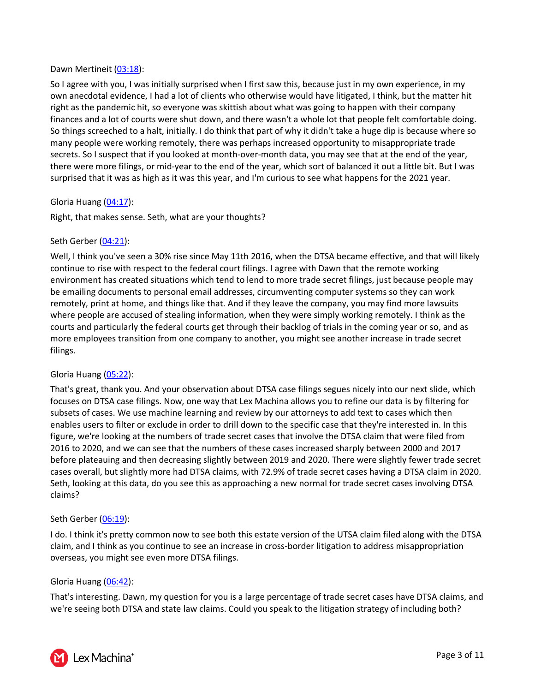## Dawn Mertineit [\(03:18\)](https://www.rev.com/transcript-editor/Edit?token=4zpis7C6vC9klaa2_FkfLtgjU41gpvPf9yobRprLAHGGpRBDoSTGZ2FBBLJ8dxMpDiqTYUVmLzBrf7GAOcvRXflU1pA&loadFrom=DocumentDeeplink&ts=198.18):

So I agree with you, I was initially surprised when I first saw this, because just in my own experience, in my own anecdotal evidence, I had a lot of clients who otherwise would have litigated, I think, but the matter hit right as the pandemic hit, so everyone was skittish about what was going to happen with their company finances and a lot of courts were shut down, and there wasn't a whole lot that people felt comfortable doing. So things screeched to a halt, initially. I do think that part of why it didn't take a huge dip is because where so many people were working remotely, there was perhaps increased opportunity to misappropriate trade secrets. So I suspect that if you looked at month-over-month data, you may see that at the end of the year, there were more filings, or mid-year to the end of the year, which sort of balanced it out a little bit. But I was surprised that it was as high as it was this year, and I'm curious to see what happens for the 2021 year.

## Gloria Huang [\(04:17\)](https://www.rev.com/transcript-editor/Edit?token=ymtILFSDzUqfYJwYpcZZIaLllBGyEzK7-6554h-QxGQVeqIh78YpqZ0XiGbgyZXhlz0kF10lYs66tqoza2cui4Wru0k&loadFrom=DocumentDeeplink&ts=257.42):

Right, that makes sense. Seth, what are your thoughts?

## Seth Gerber [\(04:21\)](https://www.rev.com/transcript-editor/Edit?token=fU4og3mcf0F0fXPgm5cEBxo-F25rYmWeB-nyXO_gkZdw3U0NGJlg40hLEnq7uoJizW4a09yzAAtnCbrnYHGNZASFZnc&loadFrom=DocumentDeeplink&ts=261.65):

Well, I think you've seen a 30% rise since May 11th 2016, when the DTSA became effective, and that will likely continue to rise with respect to the federal court filings. I agree with Dawn that the remote working environment has created situations which tend to lend to more trade secret filings, just because people may be emailing documents to personal email addresses, circumventing computer systems so they can work remotely, print at home, and things like that. And if they leave the company, you may find more lawsuits where people are accused of stealing information, when they were simply working remotely. I think as the courts and particularly the federal courts get through their backlog of trials in the coming year or so, and as more employees transition from one company to another, you might see another increase in trade secret filings.

## Gloria Huang [\(05:22\)](https://www.rev.com/transcript-editor/Edit?token=Z3NmNx5yM8WoB_MgB6M9tM_VQuePxyYpil3DGAxI2Lq45yzjcMxkAL2g33aoMugVDIGpD8ffuduDPpDcEYH77Eo284w&loadFrom=DocumentDeeplink&ts=322.46):

That's great, thank you. And your observation about DTSA case filings segues nicely into our next slide, which focuses on DTSA case filings. Now, one way that Lex Machina allows you to refine our data is by filtering for subsets of cases. We use machine learning and review by our attorneys to add text to cases which then enables users to filter or exclude in order to drill down to the specific case that they're interested in. In this figure, we're looking at the numbers of trade secret cases that involve the DTSA claim that were filed from 2016 to 2020, and we can see that the numbers of these cases increased sharply between 2000 and 2017 before plateauing and then decreasing slightly between 2019 and 2020. There were slightly fewer trade secret cases overall, but slightly more had DTSA claims, with 72.9% of trade secret cases having a DTSA claim in 2020. Seth, looking at this data, do you see this as approaching a new normal for trade secret cases involving DTSA claims?

## Seth Gerber [\(06:19\)](https://www.rev.com/transcript-editor/Edit?token=461SqyJQn1cLqxEZMt-ElkntRW5dIvQyJ84voK-Z5I0QNsv0mGrc26gm7Vd8gRGOoqjVjO-SSkBXm_dgJASMo6JcI8w&loadFrom=DocumentDeeplink&ts=379.74):

I do. I think it's pretty common now to see both this estate version of the UTSA claim filed along with the DTSA claim, and I think as you continue to see an increase in cross-border litigation to address misappropriation overseas, you might see even more DTSA filings.

## Gloria Huang [\(06:42\)](https://www.rev.com/transcript-editor/Edit?token=RjI8cGfvPuLdefPMvsX9vnodOnk6H_n0aOfyui4As7xg_RW18W2cyUc_j2A-L23QETnpdLJyas05qCekHMpK9tSNwc4&loadFrom=DocumentDeeplink&ts=402.43):

That's interesting. Dawn, my question for you is a large percentage of trade secret cases have DTSA claims, and we're seeing both DTSA and state law claims. Could you speak to the litigation strategy of including both?

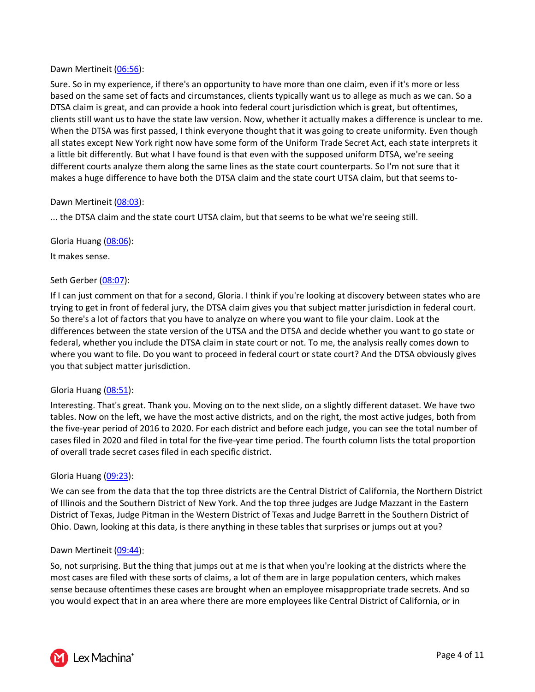## Dawn Mertineit [\(06:56\)](https://www.rev.com/transcript-editor/Edit?token=xcogvx6YGbKRhZme8okUBDMz_Z5QrmEKlyFlX6CY_thy97tr_N3o0iTadVXnNmtJcfocXjjDL5g4quva22oQXdDcEB4&loadFrom=DocumentDeeplink&ts=416.11):

Sure. So in my experience, if there's an opportunity to have more than one claim, even if it's more or less based on the same set of facts and circumstances, clients typically want us to allege as much as we can. So a DTSA claim is great, and can provide a hook into federal court jurisdiction which is great, but oftentimes, clients still want us to have the state law version. Now, whether it actually makes a difference is unclear to me. When the DTSA was first passed, I think everyone thought that it was going to create uniformity. Even though all states except New York right now have some form of the Uniform Trade Secret Act, each state interprets it a little bit differently. But what I have found is that even with the supposed uniform DTSA, we're seeing different courts analyze them along the same lines as the state court counterparts. So I'm not sure that it makes a huge difference to have both the DTSA claim and the state court UTSA claim, but that seems to-

## Dawn Mertineit [\(08:03\)](https://www.rev.com/transcript-editor/Edit?token=CPnjf-wAqq6MEJxuXmtIrfHdzxridu6hQiXA93AJIoUPL94JLIvtiLK4TpX_2g19wQi6XlcjmyvfsUkaGcrLEXVo-3Y&loadFrom=DocumentDeeplink&ts=483.8):

... the DTSA claim and the state court UTSA claim, but that seems to be what we're seeing still.

Gloria Huang [\(08:06\)](https://www.rev.com/transcript-editor/Edit?token=ntxLexwV_5KgvwVW2sd6jcmOha-a6YmVv82tJf52waQPuFwAVveVTHU-p_o8DDI1aqS9nYhdLCOxPQpTvGYwieohaC8&loadFrom=DocumentDeeplink&ts=486.48):

It makes sense.

## Seth Gerber [\(08:07\)](https://www.rev.com/transcript-editor/Edit?token=fC7YGk9pqZyrJve32b3XLLNMtMyb_VcJXfiAjXRkCviN3U1Q_Jn2SL1kk4hwWbbISDcG8jC6XlwpUG-YXCsXJHhzJsg&loadFrom=DocumentDeeplink&ts=487.01):

If I can just comment on that for a second, Gloria. I think if you're looking at discovery between states who are trying to get in front of federal jury, the DTSA claim gives you that subject matter jurisdiction in federal court. So there's a lot of factors that you have to analyze on where you want to file your claim. Look at the differences between the state version of the UTSA and the DTSA and decide whether you want to go state or federal, whether you include the DTSA claim in state court or not. To me, the analysis really comes down to where you want to file. Do you want to proceed in federal court or state court? And the DTSA obviously gives you that subject matter jurisdiction.

#### Gloria Huang [\(08:51\)](https://www.rev.com/transcript-editor/Edit?token=y5QhmKgV8mP7c66_w5zTxNrTuJy3kCAEMA8DwMVODryDgwsLpXM7adNPAytReKJXNBWVSzQ_rTkx095VYuLcNDfR28Y&loadFrom=DocumentDeeplink&ts=531.56):

Interesting. That's great. Thank you. Moving on to the next slide, on a slightly different dataset. We have two tables. Now on the left, we have the most active districts, and on the right, the most active judges, both from the five-year period of 2016 to 2020. For each district and before each judge, you can see the total number of cases filed in 2020 and filed in total for the five-year time period. The fourth column lists the total proportion of overall trade secret cases filed in each specific district.

## Gloria Huang [\(09:23\)](https://www.rev.com/transcript-editor/Edit?token=VcQC5CWrd7T__86RCpfFj5a_kGDmQqezfKfD6hGNsI_c6rbElHAbdEmYB_upuj2N3JPQ_UtZldW7swsgSBNCB68kDj0&loadFrom=DocumentDeeplink&ts=563.53):

We can see from the data that the top three districts are the Central District of California, the Northern District of Illinois and the Southern District of New York. And the top three judges are Judge Mazzant in the Eastern District of Texas, Judge Pitman in the Western District of Texas and Judge Barrett in the Southern District of Ohio. Dawn, looking at this data, is there anything in these tables that surprises or jumps out at you?

#### Dawn Mertineit [\(09:44\)](https://www.rev.com/transcript-editor/Edit?token=O9Tf6-iFGpGHTy14fabsD7lNvxn3lZazQHK_aZ1LCOrXB6SQu7fbMhsT1g1x4LBKQWCGiTUgVmJLy_qLeeDZopsVB38&loadFrom=DocumentDeeplink&ts=584.67):

So, not surprising. But the thing that jumps out at me is that when you're looking at the districts where the most cases are filed with these sorts of claims, a lot of them are in large population centers, which makes sense because oftentimes these cases are brought when an employee misappropriate trade secrets. And so you would expect that in an area where there are more employees like Central District of California, or in

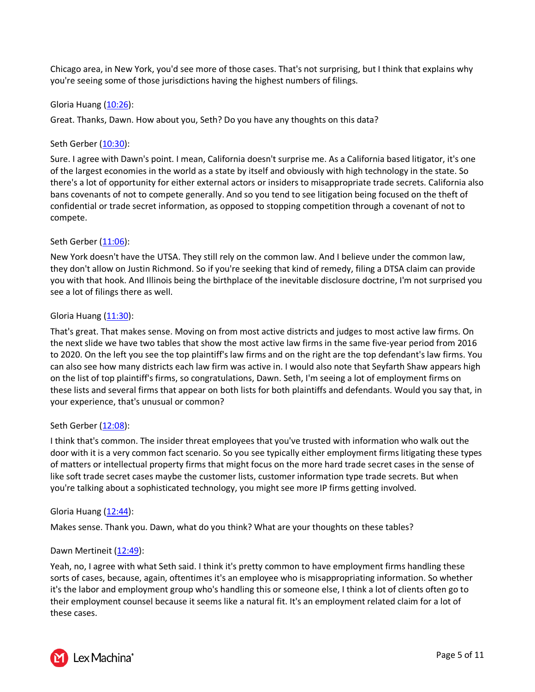Chicago area, in New York, you'd see more of those cases. That's not surprising, but I think that explains why you're seeing some of those jurisdictions having the highest numbers of filings.

## Gloria Huang [\(10:26\)](https://www.rev.com/transcript-editor/Edit?token=LhSGYxXM__5OGm7BP_ob0HUQkBDFwkt8Oy61XNp3uXYl4OqrpqXv9bYk3uZZQCrJiQeSG9eNWbReuP6cIphWPb1Le38&loadFrom=DocumentDeeplink&ts=626.25):

Great. Thanks, Dawn. How about you, Seth? Do you have any thoughts on this data?

# Seth Gerber [\(10:30\)](https://www.rev.com/transcript-editor/Edit?token=ZQg_kpP0VF909pnYMfDNtwI_lG3uuHMexG0EVYMyLOJcrtvTh4bm7zJpTosI93jeVupOTOrrHMZtf9aKyfqQ73uzXjI&loadFrom=DocumentDeeplink&ts=630.66):

Sure. I agree with Dawn's point. I mean, California doesn't surprise me. As a California based litigator, it's one of the largest economies in the world as a state by itself and obviously with high technology in the state. So there's a lot of opportunity for either external actors or insiders to misappropriate trade secrets. California also bans covenants of not to compete generally. And so you tend to see litigation being focused on the theft of confidential or trade secret information, as opposed to stopping competition through a covenant of not to compete.

# Seth Gerber [\(11:06\)](https://www.rev.com/transcript-editor/Edit?token=EiFR8zJHsNGjJsifJpUMBXwaFxA5zONrrXA949aWv20ocllPOQTlbZK6hzUDxc7tbdq65LF2qYb693AXN56Mu5rl21I&loadFrom=DocumentDeeplink&ts=666.97):

New York doesn't have the UTSA. They still rely on the common law. And I believe under the common law, they don't allow on Justin Richmond. So if you're seeking that kind of remedy, filing a DTSA claim can provide you with that hook. And Illinois being the birthplace of the inevitable disclosure doctrine, I'm not surprised you see a lot of filings there as well.

# Gloria Huang  $(11:30)$ :

That's great. That makes sense. Moving on from most active districts and judges to most active law firms. On the next slide we have two tables that show the most active law firms in the same five-year period from 2016 to 2020. On the left you see the top plaintiff's law firms and on the right are the top defendant's law firms. You can also see how many districts each law firm was active in. I would also note that Seyfarth Shaw appears high on the list of top plaintiff's firms, so congratulations, Dawn. Seth, I'm seeing a lot of employment firms on these lists and several firms that appear on both lists for both plaintiffs and defendants. Would you say that, in your experience, that's unusual or common?

## Seth Gerber [\(12:08\)](https://www.rev.com/transcript-editor/Edit?token=6TtDTkHI05AMRMx9-MkAvc_7TaH0_VFqyC55O8D8svzKiGcStPxe-3JIEdxImdBj1Ti5H5V2Th2IxQR1E8gEb8X5nvY&loadFrom=DocumentDeeplink&ts=728.02):

I think that's common. The insider threat employees that you've trusted with information who walk out the door with it is a very common fact scenario. So you see typically either employment firms litigating these types of matters or intellectual property firms that might focus on the more hard trade secret cases in the sense of like soft trade secret cases maybe the customer lists, customer information type trade secrets. But when you're talking about a sophisticated technology, you might see more IP firms getting involved.

## Gloria Huang  $(12:44)$ :

Makes sense. Thank you. Dawn, what do you think? What are your thoughts on these tables?

## Dawn Mertineit [\(12:49\)](https://www.rev.com/transcript-editor/Edit?token=7Ae_Dwj2zSSxFWNVkiWRHg5J4ZYOzvggi2kE5m753HA8b4Lcm_kfVtTf2HLNHd4xDx2I2xPCU-re6bpovETHTbVIQuU&loadFrom=DocumentDeeplink&ts=769.86):

Yeah, no, I agree with what Seth said. I think it's pretty common to have employment firms handling these sorts of cases, because, again, oftentimes it's an employee who is misappropriating information. So whether it's the labor and employment group who's handling this or someone else, I think a lot of clients often go to their employment counsel because it seems like a natural fit. It's an employment related claim for a lot of these cases.

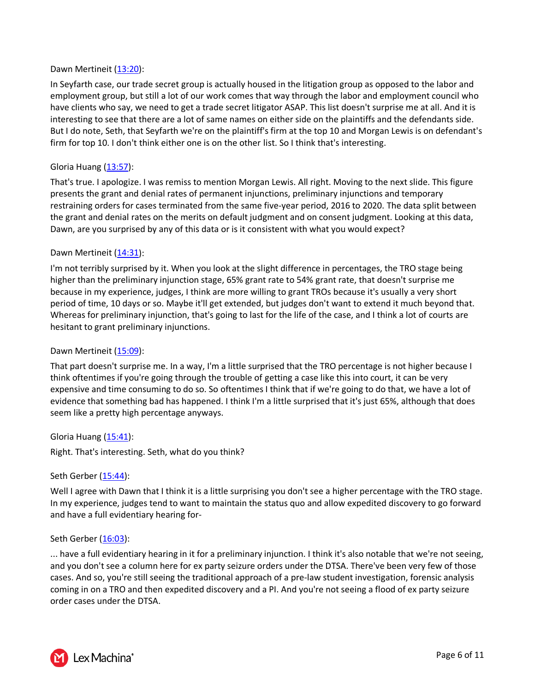## Dawn Mertineit [\(13:20\)](https://www.rev.com/transcript-editor/Edit?token=C-2F08w8xH1NKD05JU7kKRbV0pJ740wN9GE4cRHiMEOZ-6SjEeD_mi_aI1kEm90MCJUsmXmI4iFAfP9cw1d-HxF2eF8&loadFrom=DocumentDeeplink&ts=800.83):

In Seyfarth case, our trade secret group is actually housed in the litigation group as opposed to the labor and employment group, but still a lot of our work comes that way through the labor and employment council who have clients who say, we need to get a trade secret litigator ASAP. This list doesn't surprise me at all. And it is interesting to see that there are a lot of same names on either side on the plaintiffs and the defendants side. But I do note, Seth, that Seyfarth we're on the plaintiff's firm at the top 10 and Morgan Lewis is on defendant's firm for top 10. I don't think either one is on the other list. So I think that's interesting.

## Gloria Huang [\(13:57\)](https://www.rev.com/transcript-editor/Edit?token=wSmmYTT0BhNu0sf2ejP6KYPG5dqizucFpQPG5DoNIXtUCAcnHN7IRrkVOv2XRu3mEU6QJXftb2eTG9lLTpnnZWGTO8Y&loadFrom=DocumentDeeplink&ts=837.5):

That's true. I apologize. I was remiss to mention Morgan Lewis. All right. Moving to the next slide. This figure presents the grant and denial rates of permanent injunctions, preliminary injunctions and temporary restraining orders for cases terminated from the same five-year period, 2016 to 2020. The data split between the grant and denial rates on the merits on default judgment and on consent judgment. Looking at this data, Dawn, are you surprised by any of this data or is it consistent with what you would expect?

## Dawn Mertineit [\(14:31\)](https://www.rev.com/transcript-editor/Edit?token=yadPBS7fLcJOKcDSA8xaVew1ldwKSo4BCTxJ338ue3QKk1fQz0C0Lx0a5hDQCjBDWC394toAewdaOjwMVhOntZvXg20&loadFrom=DocumentDeeplink&ts=871.17):

I'm not terribly surprised by it. When you look at the slight difference in percentages, the TRO stage being higher than the preliminary injunction stage, 65% grant rate to 54% grant rate, that doesn't surprise me because in my experience, judges, I think are more willing to grant TROs because it's usually a very short period of time, 10 days or so. Maybe it'll get extended, but judges don't want to extend it much beyond that. Whereas for preliminary injunction, that's going to last for the life of the case, and I think a lot of courts are hesitant to grant preliminary injunctions.

#### Dawn Mertineit [\(15:09\)](https://www.rev.com/transcript-editor/Edit?token=lUtRJ0gciABasv7DW7fzGFTz29vVKeb59A1A6RJkupWGqWn5IkVmKvTWzQgpEkfI9Phgk-IIT4W4AheWyzhzdZG4MCs&loadFrom=DocumentDeeplink&ts=909.97):

That part doesn't surprise me. In a way, I'm a little surprised that the TRO percentage is not higher because I think oftentimes if you're going through the trouble of getting a case like this into court, it can be very expensive and time consuming to do so. So oftentimes I think that if we're going to do that, we have a lot of evidence that something bad has happened. I think I'm a little surprised that it's just 65%, although that does seem like a pretty high percentage anyways.

Gloria Huang [\(15:41\)](https://www.rev.com/transcript-editor/Edit?token=noLY0_J3qhwU3imSKh7h1OnPfbakdMgbu7q3HPrgekSodnFGpFMWCVRabv34lsRA8vG4K0vSCnebk1-fc9o9aMs5Ycg&loadFrom=DocumentDeeplink&ts=941.27):

Right. That's interesting. Seth, what do you think?

#### Seth Gerber [\(15:44\)](https://www.rev.com/transcript-editor/Edit?token=4T3eypmpboid3sIsxTct97_9pW108FJEcJkGruuE6A911RR8iUV2nG5bZIs_M1kZ59AA1fs7lCk2p85JYGGw5BohRY8&loadFrom=DocumentDeeplink&ts=944.84):

Well I agree with Dawn that I think it is a little surprising you don't see a higher percentage with the TRO stage. In my experience, judges tend to want to maintain the status quo and allow expedited discovery to go forward and have a full evidentiary hearing for-

#### Seth Gerber [\(16:03\)](https://www.rev.com/transcript-editor/Edit?token=IMk6pyhmHgWL2fQ-01OA655zeuDncLhaZMXTFMUqH5Ec-JJRHZKFSGKx4yy1YsDoZ_gsgeMUHxrVZH3-lS2v5C9BN1I&loadFrom=DocumentDeeplink&ts=963.25):

... have a full evidentiary hearing in it for a preliminary injunction. I think it's also notable that we're not seeing, and you don't see a column here for ex party seizure orders under the DTSA. There've been very few of those cases. And so, you're still seeing the traditional approach of a pre-law student investigation, forensic analysis coming in on a TRO and then expedited discovery and a PI. And you're not seeing a flood of ex party seizure order cases under the DTSA.

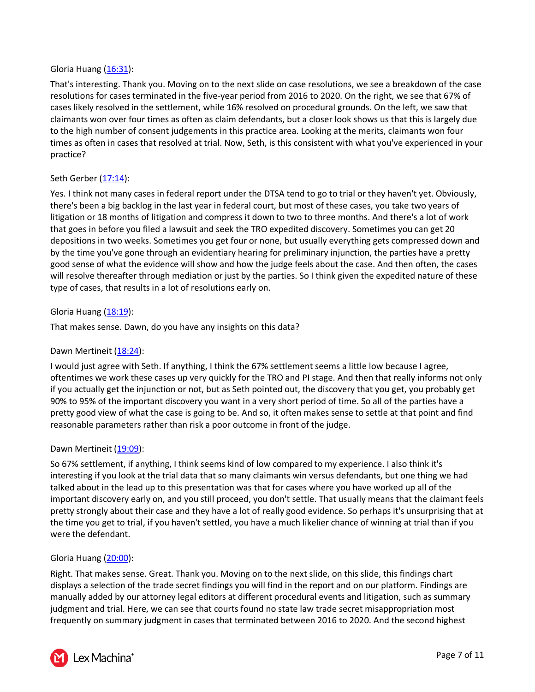## Gloria Huang [\(16:31\)](https://www.rev.com/transcript-editor/Edit?token=VRkntMvBrg8r31tHC6BaDU9G9rQ2GkJXgShCk-7-svg72nHJSkzBgjzwd-tk7QAJtWoQNymjxoUIyStBwO1UZPkIWfo&loadFrom=DocumentDeeplink&ts=991.93):

That's interesting. Thank you. Moving on to the next slide on case resolutions, we see a breakdown of the case resolutions for cases terminated in the five-year period from 2016 to 2020. On the right, we see that 67% of cases likely resolved in the settlement, while 16% resolved on procedural grounds. On the left, we saw that claimants won over four times as often as claim defendants, but a closer look shows us that this is largely due to the high number of consent judgements in this practice area. Looking at the merits, claimants won four times as often in cases that resolved at trial. Now, Seth, is this consistent with what you've experienced in your practice?

# Seth Gerber [\(17:14\)](https://www.rev.com/transcript-editor/Edit?token=TyJOdysWiqCEm_nP9H_BYO63dOMpHMULqLOnN0AIj2QCjjPC_V5xAWxrsAQAxR3Z1Z7x2If6xckiMFgJsrFInBr7Nn0&loadFrom=DocumentDeeplink&ts=1034.42):

Yes. I think not many cases in federal report under the DTSA tend to go to trial or they haven't yet. Obviously, there's been a big backlog in the last year in federal court, but most of these cases, you take two years of litigation or 18 months of litigation and compress it down to two to three months. And there's a lot of work that goes in before you filed a lawsuit and seek the TRO expedited discovery. Sometimes you can get 20 depositions in two weeks. Sometimes you get four or none, but usually everything gets compressed down and by the time you've gone through an evidentiary hearing for preliminary injunction, the parties have a pretty good sense of what the evidence will show and how the judge feels about the case. And then often, the cases will resolve thereafter through mediation or just by the parties. So I think given the expedited nature of these type of cases, that results in a lot of resolutions early on.

## Gloria Huang [\(18:19\)](https://www.rev.com/transcript-editor/Edit?token=ZtxeD_geXd2SEyWu-su_uL6tRuie-2FcIHMVm3SEfeFKhqRENssgZToW5d8dUCsBcnqei1acbNL9w_GmSX5nCZP3aCo&loadFrom=DocumentDeeplink&ts=1099.28):

That makes sense. Dawn, do you have any insights on this data?

## Dawn Mertineit [\(18:24\)](https://www.rev.com/transcript-editor/Edit?token=CjGzhDZLP9HMIrH2-XtAR95BTb53B8zkqkAEAw84kSSd7oZIvwcbCJt5Gpzz_d0SPOkM_fbkMuH2-IgwYRbnLJ8ni5I&loadFrom=DocumentDeeplink&ts=1104.63):

I would just agree with Seth. If anything, I think the 67% settlement seems a little low because I agree, oftentimes we work these cases up very quickly for the TRO and PI stage. And then that really informs not only if you actually get the injunction or not, but as Seth pointed out, the discovery that you get, you probably get 90% to 95% of the important discovery you want in a very short period of time. So all of the parties have a pretty good view of what the case is going to be. And so, it often makes sense to settle at that point and find reasonable parameters rather than risk a poor outcome in front of the judge.

## Dawn Mertineit [\(19:09\)](https://www.rev.com/transcript-editor/Edit?token=Zn8SLUijFPoRjuMIcwDqiILHX-kFmrElipuX-mYclrg447NDe-Bn3fyhBIle-52TYmeuP2INyuNYbd7At5HnsIikm5E&loadFrom=DocumentDeeplink&ts=1149.63):

So 67% settlement, if anything, I think seems kind of low compared to my experience. I also think it's interesting if you look at the trial data that so many claimants win versus defendants, but one thing we had talked about in the lead up to this presentation was that for cases where you have worked up all of the important discovery early on, and you still proceed, you don't settle. That usually means that the claimant feels pretty strongly about their case and they have a lot of really good evidence. So perhaps it's unsurprising that at the time you get to trial, if you haven't settled, you have a much likelier chance of winning at trial than if you were the defendant.

#### Gloria Huang [\(20:00\)](https://www.rev.com/transcript-editor/Edit?token=fKtFvznabfLggxF4qx19FFT-floY5Qb1bUKg9M99toY2l3mW4tpJg0f6xr4S9qSl-f-_7saX_mloW6J2uGfuakEIVT0&loadFrom=DocumentDeeplink&ts=1200.48):

Right. That makes sense. Great. Thank you. Moving on to the next slide, on this slide, this findings chart displays a selection of the trade secret findings you will find in the report and on our platform. Findings are manually added by our attorney legal editors at different procedural events and litigation, such as summary judgment and trial. Here, we can see that courts found no state law trade secret misappropriation most frequently on summary judgment in cases that terminated between 2016 to 2020. And the second highest

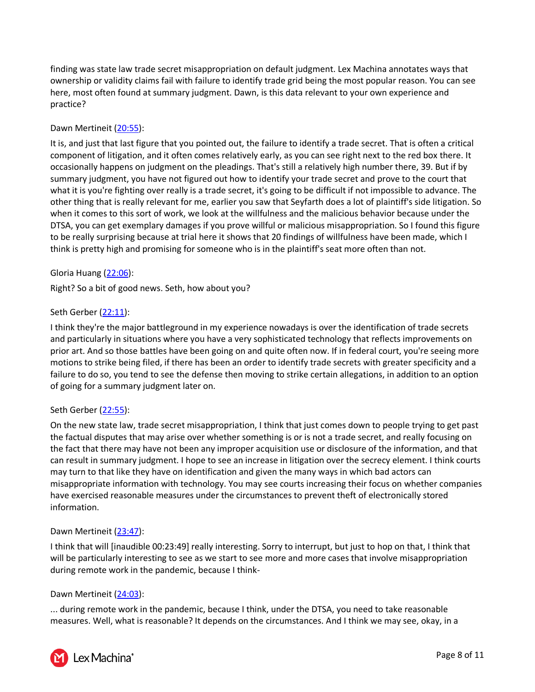finding was state law trade secret misappropriation on default judgment. Lex Machina annotates ways that ownership or validity claims fail with failure to identify trade grid being the most popular reason. You can see here, most often found at summary judgment. Dawn, is this data relevant to your own experience and practice?

# Dawn Mertineit [\(20:55\)](https://www.rev.com/transcript-editor/Edit?token=uIW0JmnpEpblGQmjH4m2FpCUxJoC0wkomozpOdX29qF7JOo3oxLVtg5rc_xFhqqg8bSnGVm8TOi2wZJ1EeRs6i23cM8&loadFrom=DocumentDeeplink&ts=1255.73):

It is, and just that last figure that you pointed out, the failure to identify a trade secret. That is often a critical component of litigation, and it often comes relatively early, as you can see right next to the red box there. It occasionally happens on judgment on the pleadings. That's still a relatively high number there, 39. But if by summary judgment, you have not figured out how to identify your trade secret and prove to the court that what it is you're fighting over really is a trade secret, it's going to be difficult if not impossible to advance. The other thing that is really relevant for me, earlier you saw that Seyfarth does a lot of plaintiff's side litigation. So when it comes to this sort of work, we look at the willfulness and the malicious behavior because under the DTSA, you can get exemplary damages if you prove willful or malicious misappropriation. So I found this figure to be really surprising because at trial here it shows that 20 findings of willfulness have been made, which I think is pretty high and promising for someone who is in the plaintiff's seat more often than not.

# Gloria Huang [\(22:06\)](https://www.rev.com/transcript-editor/Edit?token=lfuGMEHFJJCOjg9oSor8kc1rqrOLrAkrVjAt1H-wf-Y_v3up8xIy5FaUXXlkEccy7rIcraAUxSPD2LGCkknelgVLwBI&loadFrom=DocumentDeeplink&ts=1326.35):

Right? So a bit of good news. Seth, how about you?

## Seth Gerber [\(22:11\)](https://www.rev.com/transcript-editor/Edit?token=5tBSGae9ymF7NKA9ft_9X6iBUdFf6PyfzkR-ky6g0Kd-TRwbHrazQop_61c2IL9KA69hNq9vui5AKpa56q4_pcScrLk&loadFrom=DocumentDeeplink&ts=1331.81):

I think they're the major battleground in my experience nowadays is over the identification of trade secrets and particularly in situations where you have a very sophisticated technology that reflects improvements on prior art. And so those battles have been going on and quite often now. If in federal court, you're seeing more motions to strike being filed, if there has been an order to identify trade secrets with greater specificity and a failure to do so, you tend to see the defense then moving to strike certain allegations, in addition to an option of going for a summary judgment later on.

## Seth Gerber [\(22:55\)](https://www.rev.com/transcript-editor/Edit?token=u_nzCuFTCjZU1CdA_B2rJ0cRUokDQINkbBiDGq85E1MGi9a1iyv62IkCZ84ljlvKV4QV_z7JqIuX-63NiurPb3z6vj4&loadFrom=DocumentDeeplink&ts=1375.41):

On the new state law, trade secret misappropriation, I think that just comes down to people trying to get past the factual disputes that may arise over whether something is or is not a trade secret, and really focusing on the fact that there may have not been any improper acquisition use or disclosure of the information, and that can result in summary judgment. I hope to see an increase in litigation over the secrecy element. I think courts may turn to that like they have on identification and given the many ways in which bad actors can misappropriate information with technology. You may see courts increasing their focus on whether companies have exercised reasonable measures under the circumstances to prevent theft of electronically stored information.

## Dawn Mertineit [\(23:47\)](https://www.rev.com/transcript-editor/Edit?token=Mvw-YtLlvIDtW04oDQom0WaC7NWfpl9nTJPc4JzhfArsrT6YrCJJhsnZlhiM8CYWK9J5lqDL-CM9NKf2bk4_A7A5iVU&loadFrom=DocumentDeeplink&ts=1427.54):

I think that will [inaudible 00:23:49] really interesting. Sorry to interrupt, but just to hop on that, I think that will be particularly interesting to see as we start to see more and more cases that involve misappropriation during remote work in the pandemic, because I think-

## Dawn Mertineit [\(24:03\)](https://www.rev.com/transcript-editor/Edit?token=h248VP2p2Kv2II4LzNFDHghsLxZ4jPQ6jxVH36tQUdACWB92vRlFhHxjTGU9m9lCadN2BBuZC5zhpvcVfh5r53QF-E0&loadFrom=DocumentDeeplink&ts=1443.8):

... during remote work in the pandemic, because I think, under the DTSA, you need to take reasonable measures. Well, what is reasonable? It depends on the circumstances. And I think we may see, okay, in a

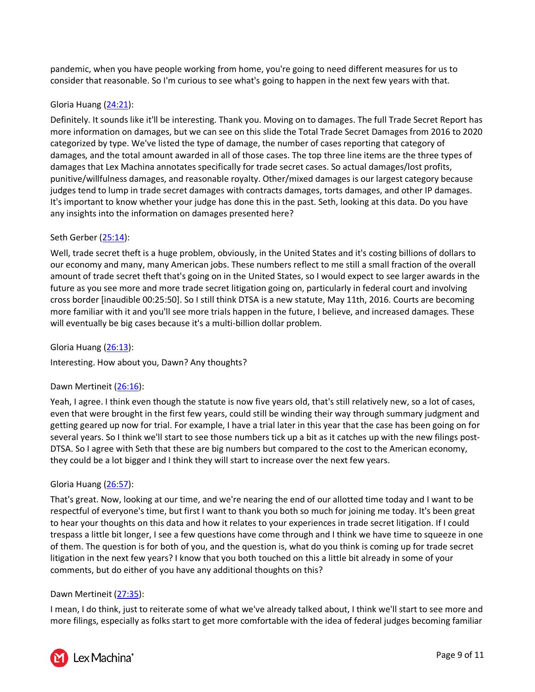pandemic, when you have people working from home, you're going to need different measures for us to consider that reasonable. So I'm curious to see what's going to happen in the next few years with that.

## Gloria Huang [\(24:21\)](https://www.rev.com/transcript-editor/Edit?token=6vkbd9rnew0GTf9VykLXm8Oe4hPKAqKPn7v18qPc94oQbFNzl_8UKYV4WGMyD-UQxVRd0rdjA1qm6TRHjaxT32lXqrY&loadFrom=DocumentDeeplink&ts=1461.98):

Definitely. It sounds like it'll be interesting. Thank you. Moving on to damages. The full Trade Secret Report has more information on damages, but we can see on this slide the Total Trade Secret Damages from 2016 to 2020 categorized by type. We've listed the type of damage, the number of cases reporting that category of damages, and the total amount awarded in all of those cases. The top three line items are the three types of damages that Lex Machina annotates specifically for trade secret cases. So actual damages/lost profits, punitive/willfulness damages, and reasonable royalty. Other/mixed damages is our largest category because judges tend to lump in trade secret damages with contracts damages, torts damages, and other IP damages. It's important to know whether your judge has done this in the past. Seth, looking at this data. Do you have any insights into the information on damages presented here?

# Seth Gerber [\(25:14\)](https://www.rev.com/transcript-editor/Edit?token=mPwvo8sxogNsYzhD1NYn7V2lBESNXyag_D9XffKNcVOMwjYVy2vFHVajyyidP9PhXjGiRz1SGmmN4udPj1Tz0ci-ZD0&loadFrom=DocumentDeeplink&ts=1514.5):

Well, trade secret theft is a huge problem, obviously, in the United States and it's costing billions of dollars to our economy and many, many American jobs. These numbers reflect to me still a small fraction of the overall amount of trade secret theft that's going on in the United States, so I would expect to see larger awards in the future as you see more and more trade secret litigation going on, particularly in federal court and involving cross border [inaudible 00:25:50]. So I still think DTSA is a new statute, May 11th, 2016. Courts are becoming more familiar with it and you'll see more trials happen in the future, I believe, and increased damages. These will eventually be big cases because it's a multi-billion dollar problem.

Gloria Huang [\(26:13\)](https://www.rev.com/transcript-editor/Edit?token=NFgFlw7TA80_YC6EsroALVQdfTcphLra_VcpwlWu7nu2Xr9pQIhIvl-cNuZ6OKvNIjZSEvWZJ_a7eUSn5kck-Odte-Q&loadFrom=DocumentDeeplink&ts=1573.23):

Interesting. How about you, Dawn? Any thoughts?

## Dawn Mertineit [\(26:16\)](https://www.rev.com/transcript-editor/Edit?token=pP7c0zQy8XeKacukZRftcy1NAryZlnZylywJ6bzEdFmwwUkffpbQuTSc20vMNgpFlEFLbmHtJpvgDueCFPRApf8qaTI&loadFrom=DocumentDeeplink&ts=1576.78):

Yeah, I agree. I think even though the statute is now five years old, that's still relatively new, so a lot of cases, even that were brought in the first few years, could still be winding their way through summary judgment and getting geared up now for trial. For example, I have a trial later in this year that the case has been going on for several years. So I think we'll start to see those numbers tick up a bit as it catches up with the new filings post-DTSA. So I agree with Seth that these are big numbers but compared to the cost to the American economy, they could be a lot bigger and I think they will start to increase over the next few years.

## Gloria Huang [\(26:57\)](https://www.rev.com/transcript-editor/Edit?token=haS3B69HAmsPKxmiJSjHLpgkc6lU-6T_mmGgfIjFv6tmUnzcp1j3GOKq3S_VW6iPeif1Mmxmwj_MYh9RjooXWgt9Xmc&loadFrom=DocumentDeeplink&ts=1617.6):

That's great. Now, looking at our time, and we're nearing the end of our allotted time today and I want to be respectful of everyone's time, but first I want to thank you both so much for joining me today. It's been great to hear your thoughts on this data and how it relates to your experiences in trade secret litigation. If I could trespass a little bit longer, I see a few questions have come through and I think we have time to squeeze in one of them. The question is for both of you, and the question is, what do you think is coming up for trade secret litigation in the next few years? I know that you both touched on this a little bit already in some of your comments, but do either of you have any additional thoughts on this?

## Dawn Mertineit [\(27:35\)](https://www.rev.com/transcript-editor/Edit?token=A3cJ_oS5lVWKB49T1HykDma07An9cOnW_gWSXuDpkL2GwJTzXQOVRjzAC06GcOaFMCsAXhB0TLKxSXR153DeiFzV8JM&loadFrom=DocumentDeeplink&ts=1655.75):

I mean, I do think, just to reiterate some of what we've already talked about, I think we'll start to see more and more filings, especially as folks start to get more comfortable with the idea of federal judges becoming familiar

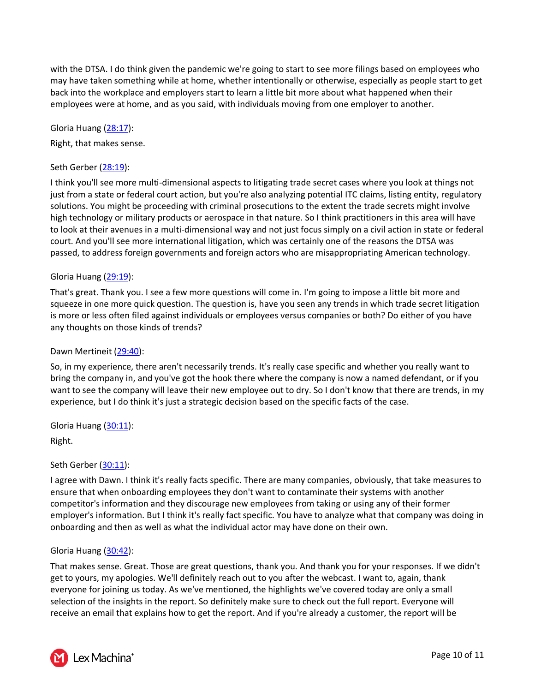with the DTSA. I do think given the pandemic we're going to start to see more filings based on employees who may have taken something while at home, whether intentionally or otherwise, especially as people start to get back into the workplace and employers start to learn a little bit more about what happened when their employees were at home, and as you said, with individuals moving from one employer to another.

Gloria Huang [\(28:17\)](https://www.rev.com/transcript-editor/Edit?token=vPosdbvkf457-EgTVbhRRr-L_rMzaNiuI-jYQwuat9u8rPAfOKRFetxKc1A7thhpx6fCMx7GF_UeoDKS6Cj7YUhKZZI&loadFrom=DocumentDeeplink&ts=1697.78):

Right, that makes sense.

# Seth Gerber [\(28:19\)](https://www.rev.com/transcript-editor/Edit?token=df_l9F-Uk-qR2sTsb74MqklmKHCHvF8Us3Q1tdaTDnLoOkf0H4Q2LLBdLz7uBu3OPuckV8L6fH8FDHu-qHYTgCTF0uM&loadFrom=DocumentDeeplink&ts=1699.5):

I think you'll see more multi-dimensional aspects to litigating trade secret cases where you look at things not just from a state or federal court action, but you're also analyzing potential ITC claims, listing entity, regulatory solutions. You might be proceeding with criminal prosecutions to the extent the trade secrets might involve high technology or military products or aerospace in that nature. So I think practitioners in this area will have to look at their avenues in a multi-dimensional way and not just focus simply on a civil action in state or federal court. And you'll see more international litigation, which was certainly one of the reasons the DTSA was passed, to address foreign governments and foreign actors who are misappropriating American technology.

# Gloria Huang [\(29:19\)](https://www.rev.com/transcript-editor/Edit?token=MtVOUez096bYnPZLI5FSULoybzxkQoP54qtNIXoOa0tz_w0WbqYZzjA-x_F1EZH5yGjPMhLpaPHm_nqlKINDjds_FFw&loadFrom=DocumentDeeplink&ts=1759.11):

That's great. Thank you. I see a few more questions will come in. I'm going to impose a little bit more and squeeze in one more quick question. The question is, have you seen any trends in which trade secret litigation is more or less often filed against individuals or employees versus companies or both? Do either of you have any thoughts on those kinds of trends?

## Dawn Mertineit [\(29:40\)](https://www.rev.com/transcript-editor/Edit?token=dNv42xLw2Xl3b8tKPlbdNEt5LcahbHDOCPTXicuSJYmLCcwBpks9GRiGVLz5SjZ2gtdqpNBaCXmdwy9fLngsGIQJheI&loadFrom=DocumentDeeplink&ts=1780.67):

So, in my experience, there aren't necessarily trends. It's really case specific and whether you really want to bring the company in, and you've got the hook there where the company is now a named defendant, or if you want to see the company will leave their new employee out to dry. So I don't know that there are trends, in my experience, but I do think it's just a strategic decision based on the specific facts of the case.

Gloria Huang [\(30:11\)](https://www.rev.com/transcript-editor/Edit?token=g8D4FsHMZ_L6wgWzkGHHneTEx9O70oTF9upHTYmFIlCV9vjsA4db9zQC6YXCncXOu7CLbqqJHDqrowHJ0_gvN9r9FzA&loadFrom=DocumentDeeplink&ts=1811.86):

Right.

Seth Gerber [\(30:11\)](https://www.rev.com/transcript-editor/Edit?token=M2OOvx-UhMptUkmMTP4qpKQsMbHMnAbszvkpo3eXbqmjmedJH9TzU9mi6kc2jv1k7L0ze__1kERiwtnfK61t1CqWyHI&loadFrom=DocumentDeeplink&ts=1811.97):

I agree with Dawn. I think it's really facts specific. There are many companies, obviously, that take measures to ensure that when onboarding employees they don't want to contaminate their systems with another competitor's information and they discourage new employees from taking or using any of their former employer's information. But I think it's really fact specific. You have to analyze what that company was doing in onboarding and then as well as what the individual actor may have done on their own.

## Gloria Huang [\(30:42\)](https://www.rev.com/transcript-editor/Edit?token=ThSnM8FsURw_EN3FPY0zVa3vBtKwrNRm3x2opTYeT0ysLmal8H7hrUwSyycVO9NvdtaB9tqMncxiNyGU-4K3UoAwi0k&loadFrom=DocumentDeeplink&ts=1842.59):

That makes sense. Great. Those are great questions, thank you. And thank you for your responses. If we didn't get to yours, my apologies. We'll definitely reach out to you after the webcast. I want to, again, thank everyone for joining us today. As we've mentioned, the highlights we've covered today are only a small selection of the insights in the report. So definitely make sure to check out the full report. Everyone will receive an email that explains how to get the report. And if you're already a customer, the report will be